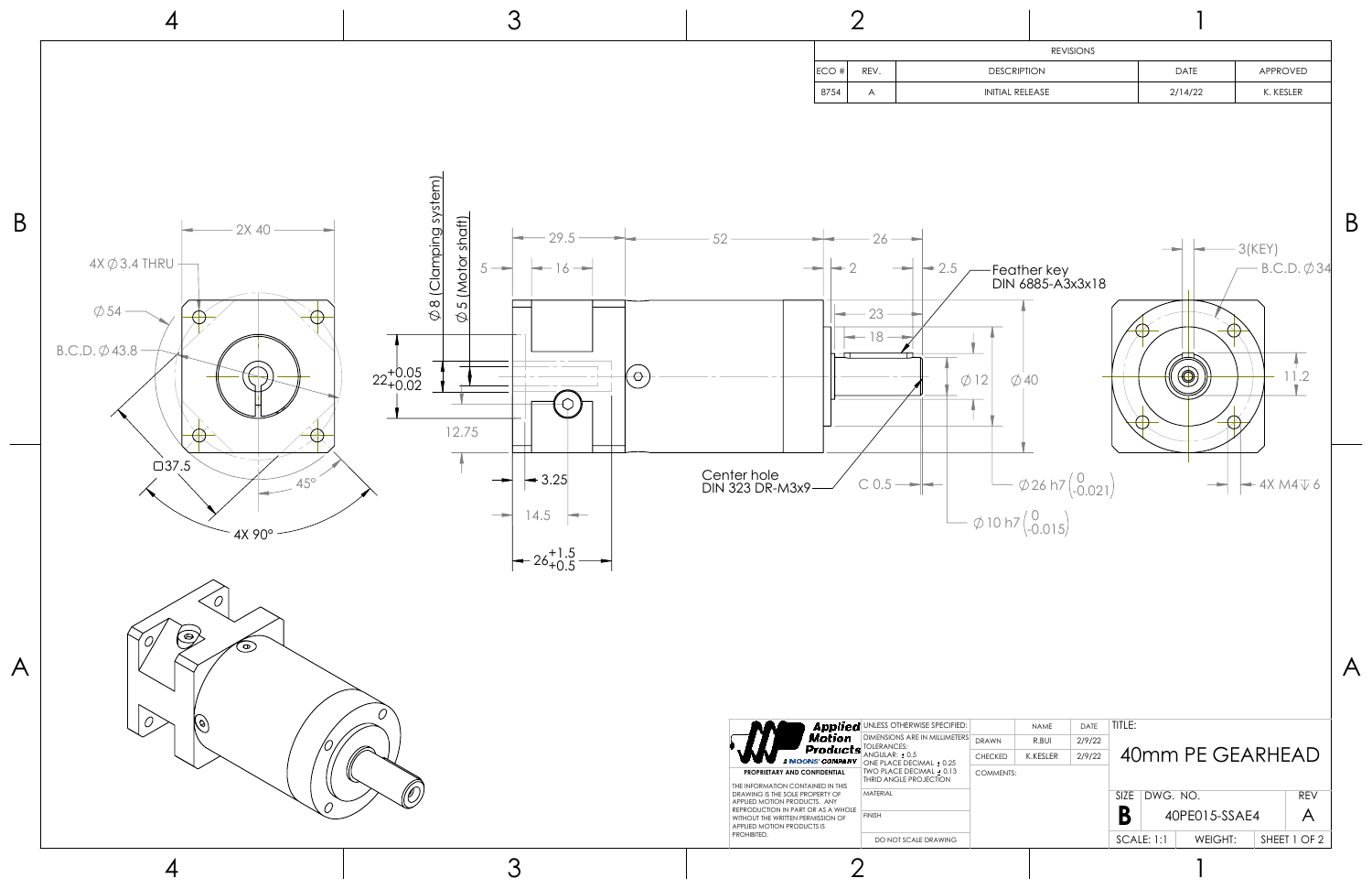